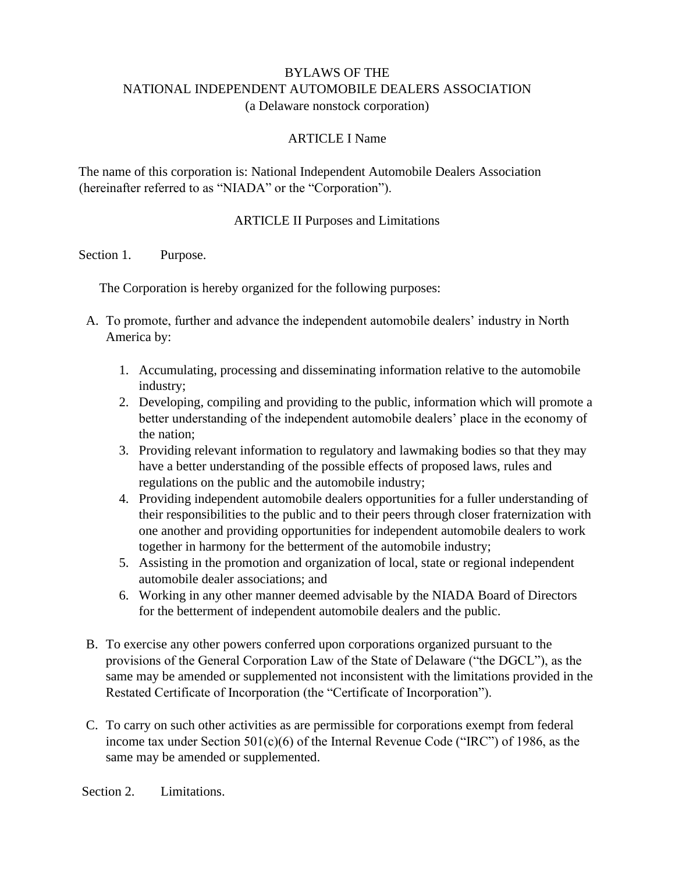### BYLAWS OF THE NATIONAL INDEPENDENT AUTOMOBILE DEALERS ASSOCIATION (a Delaware nonstock corporation)

### ARTICLE I Name

The name of this corporation is: National Independent Automobile Dealers Association (hereinafter referred to as "NIADA" or the "Corporation").

#### ARTICLE II Purposes and Limitations

Section 1. Purpose.

The Corporation is hereby organized for the following purposes:

- A. To promote, further and advance the independent automobile dealers' industry in North America by:
	- 1. Accumulating, processing and disseminating information relative to the automobile industry;
	- 2. Developing, compiling and providing to the public, information which will promote a better understanding of the independent automobile dealers' place in the economy of the nation;
	- 3. Providing relevant information to regulatory and lawmaking bodies so that they may have a better understanding of the possible effects of proposed laws, rules and regulations on the public and the automobile industry;
	- 4. Providing independent automobile dealers opportunities for a fuller understanding of their responsibilities to the public and to their peers through closer fraternization with one another and providing opportunities for independent automobile dealers to work together in harmony for the betterment of the automobile industry;
	- 5. Assisting in the promotion and organization of local, state or regional independent automobile dealer associations; and
	- 6. Working in any other manner deemed advisable by the NIADA Board of Directors for the betterment of independent automobile dealers and the public.
- B. To exercise any other powers conferred upon corporations organized pursuant to the provisions of the General Corporation Law of the State of Delaware ("the DGCL"), as the same may be amended or supplemented not inconsistent with the limitations provided in the Restated Certificate of Incorporation (the "Certificate of Incorporation").
- C. To carry on such other activities as are permissible for corporations exempt from federal income tax under Section 501(c)(6) of the Internal Revenue Code ("IRC") of 1986, as the same may be amended or supplemented.

Section 2. Limitations.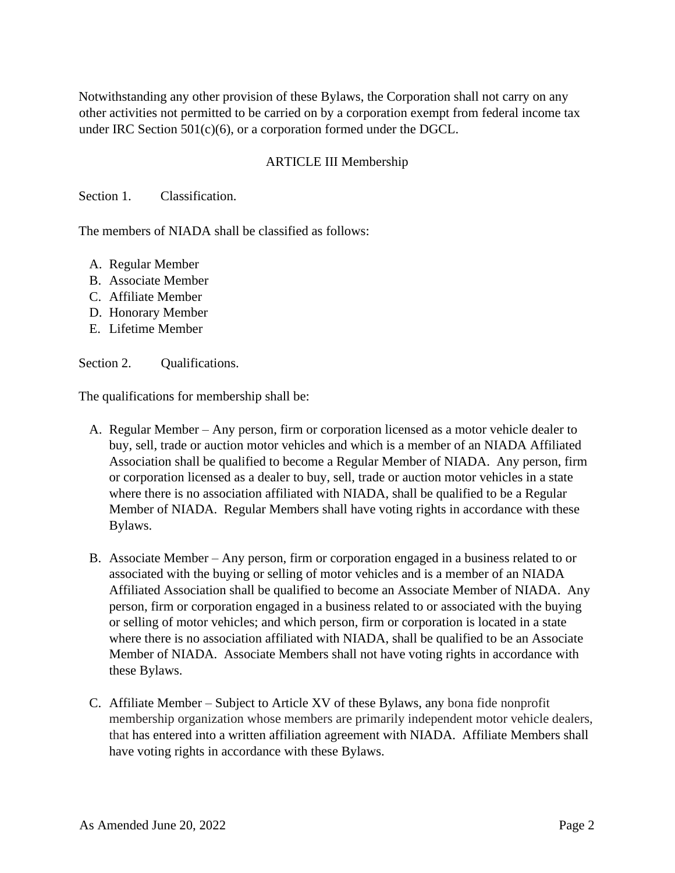Notwithstanding any other provision of these Bylaws, the Corporation shall not carry on any other activities not permitted to be carried on by a corporation exempt from federal income tax under IRC Section 501(c)(6), or a corporation formed under the DGCL.

## ARTICLE III Membership

Section 1. Classification.

The members of NIADA shall be classified as follows:

- A. Regular Member
- B. Associate Member
- C. Affiliate Member
- D. Honorary Member
- E. Lifetime Member

#### Section 2. Qualifications.

The qualifications for membership shall be:

- A. Regular Member Any person, firm or corporation licensed as a motor vehicle dealer to buy, sell, trade or auction motor vehicles and which is a member of an NIADA Affiliated Association shall be qualified to become a Regular Member of NIADA. Any person, firm or corporation licensed as a dealer to buy, sell, trade or auction motor vehicles in a state where there is no association affiliated with NIADA, shall be qualified to be a Regular Member of NIADA. Regular Members shall have voting rights in accordance with these Bylaws.
- B. Associate Member Any person, firm or corporation engaged in a business related to or associated with the buying or selling of motor vehicles and is a member of an NIADA Affiliated Association shall be qualified to become an Associate Member of NIADA. Any person, firm or corporation engaged in a business related to or associated with the buying or selling of motor vehicles; and which person, firm or corporation is located in a state where there is no association affiliated with NIADA, shall be qualified to be an Associate Member of NIADA. Associate Members shall not have voting rights in accordance with these Bylaws.
- C. Affiliate Member Subject to Article XV of these Bylaws, any bona fide nonprofit membership organization whose members are primarily independent motor vehicle dealers, that has entered into a written affiliation agreement with NIADA. Affiliate Members shall have voting rights in accordance with these Bylaws.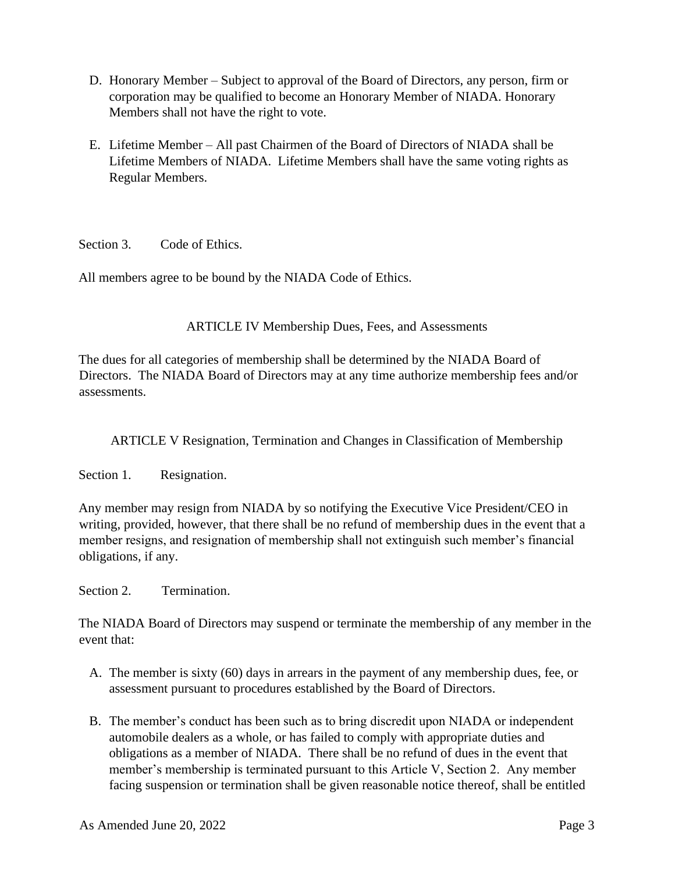- D. Honorary Member Subject to approval of the Board of Directors, any person, firm or corporation may be qualified to become an Honorary Member of NIADA. Honorary Members shall not have the right to vote.
- E. Lifetime Member All past Chairmen of the Board of Directors of NIADA shall be Lifetime Members of NIADA. Lifetime Members shall have the same voting rights as Regular Members.

Section 3. Code of Ethics.

All members agree to be bound by the NIADA Code of Ethics.

ARTICLE IV Membership Dues, Fees, and Assessments

The dues for all categories of membership shall be determined by the NIADA Board of Directors. The NIADA Board of Directors may at any time authorize membership fees and/or assessments.

ARTICLE V Resignation, Termination and Changes in Classification of Membership

Section 1. Resignation.

Any member may resign from NIADA by so notifying the Executive Vice President/CEO in writing, provided, however, that there shall be no refund of membership dues in the event that a member resigns, and resignation of membership shall not extinguish such member's financial obligations, if any.

Section 2. Termination.

The NIADA Board of Directors may suspend or terminate the membership of any member in the event that:

- A. The member is sixty (60) days in arrears in the payment of any membership dues, fee, or assessment pursuant to procedures established by the Board of Directors.
- B. The member's conduct has been such as to bring discredit upon NIADA or independent automobile dealers as a whole, or has failed to comply with appropriate duties and obligations as a member of NIADA. There shall be no refund of dues in the event that member's membership is terminated pursuant to this Article V, Section 2. Any member facing suspension or termination shall be given reasonable notice thereof, shall be entitled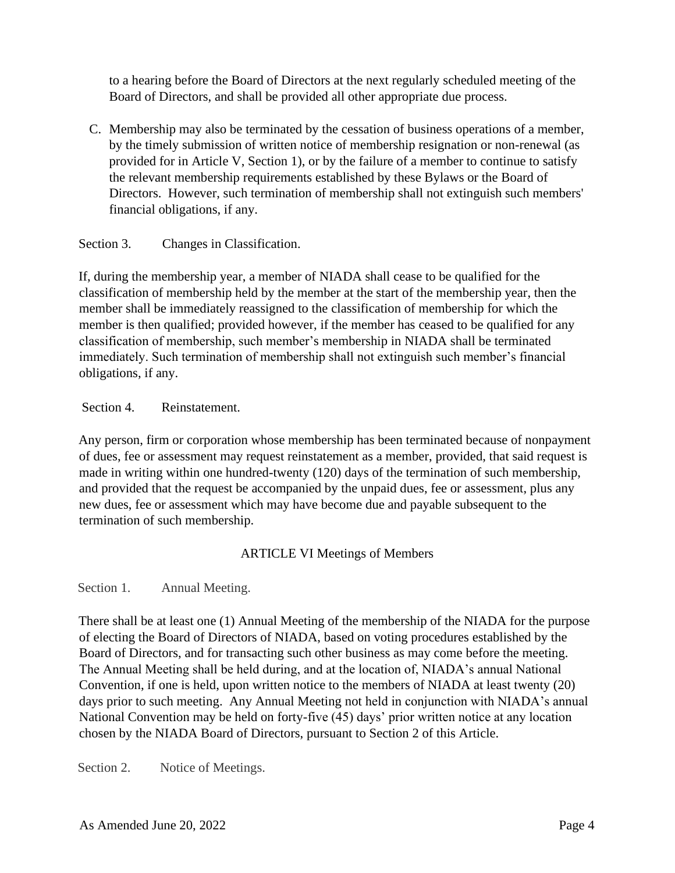to a hearing before the Board of Directors at the next regularly scheduled meeting of the Board of Directors, and shall be provided all other appropriate due process.

C. Membership may also be terminated by the cessation of business operations of a member, by the timely submission of written notice of membership resignation or non-renewal (as provided for in Article V, Section 1), or by the failure of a member to continue to satisfy the relevant membership requirements established by these Bylaws or the Board of Directors. However, such termination of membership shall not extinguish such members' financial obligations, if any.

Section 3. Changes in Classification.

If, during the membership year, a member of NIADA shall cease to be qualified for the classification of membership held by the member at the start of the membership year, then the member shall be immediately reassigned to the classification of membership for which the member is then qualified; provided however, if the member has ceased to be qualified for any classification of membership, such member's membership in NIADA shall be terminated immediately. Such termination of membership shall not extinguish such member's financial obligations, if any.

Section 4. Reinstatement.

Any person, firm or corporation whose membership has been terminated because of nonpayment of dues, fee or assessment may request reinstatement as a member, provided, that said request is made in writing within one hundred-twenty (120) days of the termination of such membership, and provided that the request be accompanied by the unpaid dues, fee or assessment, plus any new dues, fee or assessment which may have become due and payable subsequent to the termination of such membership.

ARTICLE VI Meetings of Members

Section 1. Annual Meeting.

There shall be at least one (1) Annual Meeting of the membership of the NIADA for the purpose of electing the Board of Directors of NIADA, based on voting procedures established by the Board of Directors, and for transacting such other business as may come before the meeting. The Annual Meeting shall be held during, and at the location of, NIADA's annual National Convention, if one is held, upon written notice to the members of NIADA at least twenty (20) days prior to such meeting. Any Annual Meeting not held in conjunction with NIADA's annual National Convention may be held on forty-five (45) days' prior written notice at any location chosen by the NIADA Board of Directors, pursuant to Section 2 of this Article.

Section 2. Notice of Meetings.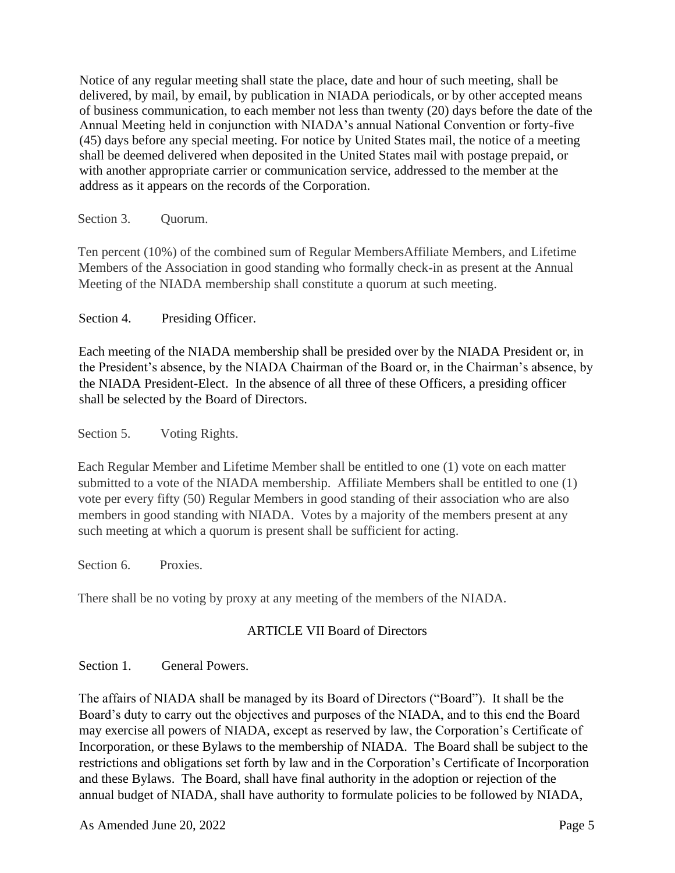Notice of any regular meeting shall state the place, date and hour of such meeting, shall be delivered, by mail, by email, by publication in NIADA periodicals, or by other accepted means of business communication, to each member not less than twenty (20) days before the date of the Annual Meeting held in conjunction with NIADA's annual National Convention or forty-five (45) days before any special meeting. For notice by United States mail, the notice of a meeting shall be deemed delivered when deposited in the United States mail with postage prepaid, or with another appropriate carrier or communication service, addressed to the member at the address as it appears on the records of the Corporation.

Section 3. Quorum.

Ten percent (10%) of the combined sum of Regular MembersAffiliate Members, and Lifetime Members of the Association in good standing who formally check-in as present at the Annual Meeting of the NIADA membership shall constitute a quorum at such meeting.

Section 4. Presiding Officer.

Each meeting of the NIADA membership shall be presided over by the NIADA President or, in the President's absence, by the NIADA Chairman of the Board or, in the Chairman's absence, by the NIADA President-Elect. In the absence of all three of these Officers, a presiding officer shall be selected by the Board of Directors.

Section 5. Voting Rights.

Each Regular Member and Lifetime Member shall be entitled to one (1) vote on each matter submitted to a vote of the NIADA membership. Affiliate Members shall be entitled to one (1) vote per every fifty (50) Regular Members in good standing of their association who are also members in good standing with NIADA. Votes by a majority of the members present at any such meeting at which a quorum is present shall be sufficient for acting.

Section 6. Proxies.

There shall be no voting by proxy at any meeting of the members of the NIADA.

# ARTICLE VII Board of Directors

Section 1. General Powers.

The affairs of NIADA shall be managed by its Board of Directors ("Board"). It shall be the Board's duty to carry out the objectives and purposes of the NIADA, and to this end the Board may exercise all powers of NIADA, except as reserved by law, the Corporation's Certificate of Incorporation, or these Bylaws to the membership of NIADA. The Board shall be subject to the restrictions and obligations set forth by law and in the Corporation's Certificate of Incorporation and these Bylaws. The Board, shall have final authority in the adoption or rejection of the annual budget of NIADA, shall have authority to formulate policies to be followed by NIADA,

As Amended June 20, 2022 Page 5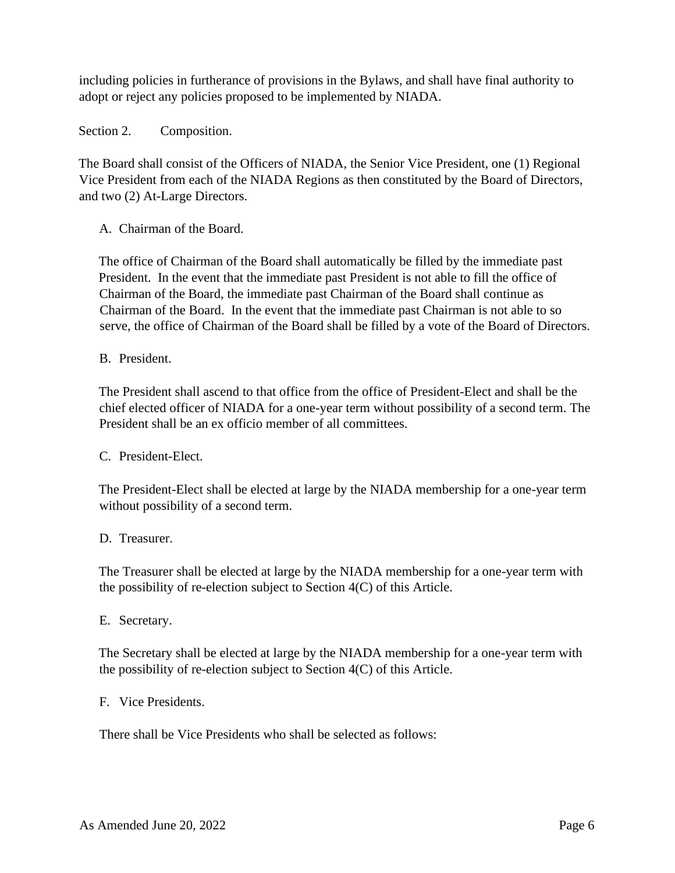including policies in furtherance of provisions in the Bylaws, and shall have final authority to adopt or reject any policies proposed to be implemented by NIADA.

Section 2. Composition.

The Board shall consist of the Officers of NIADA, the Senior Vice President, one (1) Regional Vice President from each of the NIADA Regions as then constituted by the Board of Directors, and two (2) At-Large Directors.

A. Chairman of the Board.

The office of Chairman of the Board shall automatically be filled by the immediate past President. In the event that the immediate past President is not able to fill the office of Chairman of the Board, the immediate past Chairman of the Board shall continue as Chairman of the Board. In the event that the immediate past Chairman is not able to so serve, the office of Chairman of the Board shall be filled by a vote of the Board of Directors.

B. President.

The President shall ascend to that office from the office of President-Elect and shall be the chief elected officer of NIADA for a one-year term without possibility of a second term. The President shall be an ex officio member of all committees.

### C. President-Elect.

The President-Elect shall be elected at large by the NIADA membership for a one-year term without possibility of a second term.

#### D. Treasurer.

The Treasurer shall be elected at large by the NIADA membership for a one-year term with the possibility of re-election subject to Section 4(C) of this Article.

E. Secretary.

The Secretary shall be elected at large by the NIADA membership for a one-year term with the possibility of re-election subject to Section 4(C) of this Article.

#### F. Vice Presidents.

There shall be Vice Presidents who shall be selected as follows: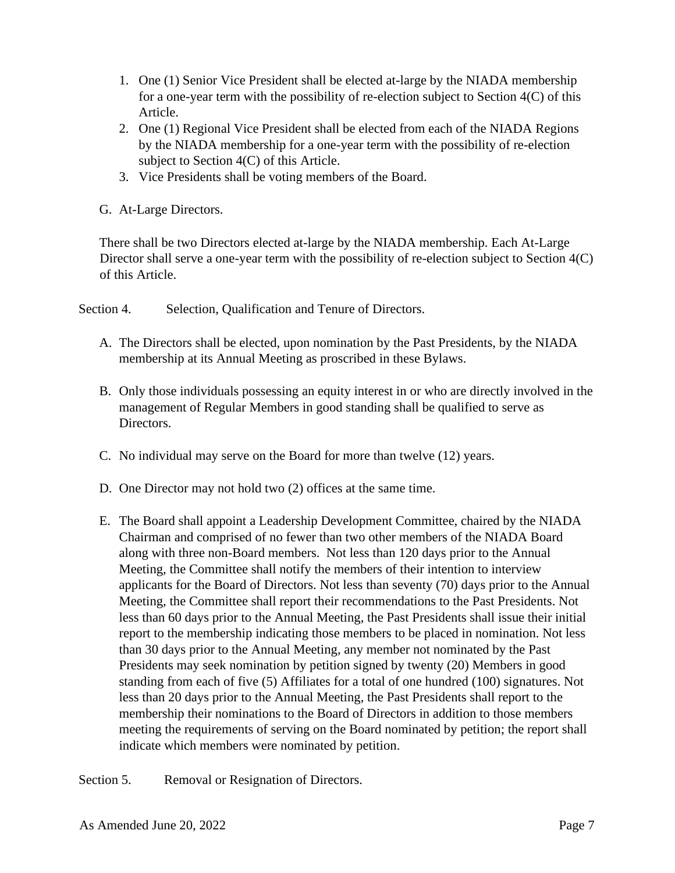- 1. One (1) Senior Vice President shall be elected at-large by the NIADA membership for a one-year term with the possibility of re-election subject to Section 4(C) of this Article.
- 2. One (1) Regional Vice President shall be elected from each of the NIADA Regions by the NIADA membership for a one-year term with the possibility of re-election subject to Section 4(C) of this Article.
- 3. Vice Presidents shall be voting members of the Board.
- G. At-Large Directors.

There shall be two Directors elected at-large by the NIADA membership. Each At-Large Director shall serve a one-year term with the possibility of re-election subject to Section 4(C) of this Article.

Section 4. Selection, Qualification and Tenure of Directors.

- A. The Directors shall be elected, upon nomination by the Past Presidents, by the NIADA membership at its Annual Meeting as proscribed in these Bylaws.
- B. Only those individuals possessing an equity interest in or who are directly involved in the management of Regular Members in good standing shall be qualified to serve as Directors.
- C. No individual may serve on the Board for more than twelve (12) years.
- D. One Director may not hold two (2) offices at the same time.
- E. The Board shall appoint a Leadership Development Committee, chaired by the NIADA Chairman and comprised of no fewer than two other members of the NIADA Board along with three non-Board members. Not less than 120 days prior to the Annual Meeting, the Committee shall notify the members of their intention to interview applicants for the Board of Directors. Not less than seventy (70) days prior to the Annual Meeting, the Committee shall report their recommendations to the Past Presidents. Not less than 60 days prior to the Annual Meeting, the Past Presidents shall issue their initial report to the membership indicating those members to be placed in nomination. Not less than 30 days prior to the Annual Meeting, any member not nominated by the Past Presidents may seek nomination by petition signed by twenty (20) Members in good standing from each of five (5) Affiliates for a total of one hundred (100) signatures. Not less than 20 days prior to the Annual Meeting, the Past Presidents shall report to the membership their nominations to the Board of Directors in addition to those members meeting the requirements of serving on the Board nominated by petition; the report shall indicate which members were nominated by petition.

Section 5. Removal or Resignation of Directors.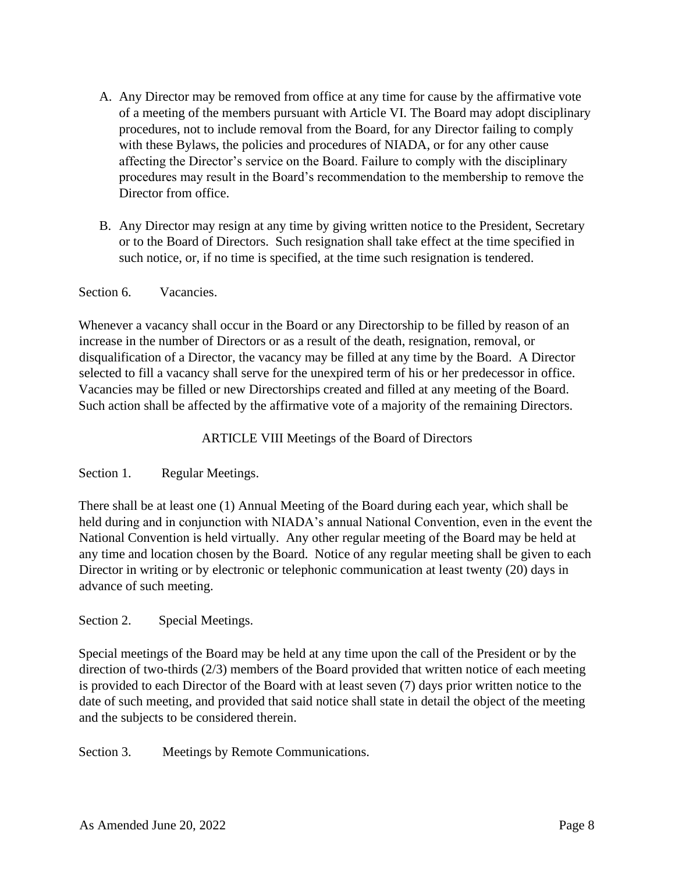- A. Any Director may be removed from office at any time for cause by the affirmative vote of a meeting of the members pursuant with Article VI. The Board may adopt disciplinary procedures, not to include removal from the Board, for any Director failing to comply with these Bylaws, the policies and procedures of NIADA, or for any other cause affecting the Director's service on the Board. Failure to comply with the disciplinary procedures may result in the Board's recommendation to the membership to remove the Director from office.
- B. Any Director may resign at any time by giving written notice to the President, Secretary or to the Board of Directors. Such resignation shall take effect at the time specified in such notice, or, if no time is specified, at the time such resignation is tendered.

Section 6. Vacancies.

Whenever a vacancy shall occur in the Board or any Directorship to be filled by reason of an increase in the number of Directors or as a result of the death, resignation, removal, or disqualification of a Director, the vacancy may be filled at any time by the Board. A Director selected to fill a vacancy shall serve for the unexpired term of his or her predecessor in office. Vacancies may be filled or new Directorships created and filled at any meeting of the Board. Such action shall be affected by the affirmative vote of a majority of the remaining Directors.

ARTICLE VIII Meetings of the Board of Directors

Section 1. Regular Meetings.

There shall be at least one (1) Annual Meeting of the Board during each year, which shall be held during and in conjunction with NIADA's annual National Convention, even in the event the National Convention is held virtually. Any other regular meeting of the Board may be held at any time and location chosen by the Board. Notice of any regular meeting shall be given to each Director in writing or by electronic or telephonic communication at least twenty (20) days in advance of such meeting.

### Section 2. Special Meetings.

Special meetings of the Board may be held at any time upon the call of the President or by the direction of two-thirds (2/3) members of the Board provided that written notice of each meeting is provided to each Director of the Board with at least seven (7) days prior written notice to the date of such meeting, and provided that said notice shall state in detail the object of the meeting and the subjects to be considered therein.

Section 3. Meetings by Remote Communications.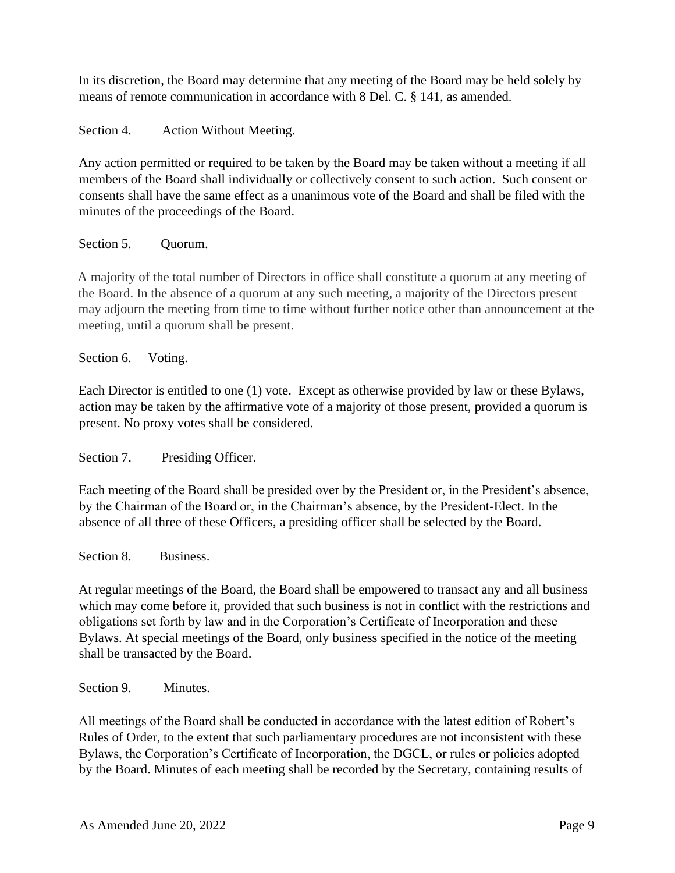In its discretion, the Board may determine that any meeting of the Board may be held solely by means of remote communication in accordance with 8 Del. C. § 141, as amended.

Section 4. Action Without Meeting.

Any action permitted or required to be taken by the Board may be taken without a meeting if all members of the Board shall individually or collectively consent to such action. Such consent or consents shall have the same effect as a unanimous vote of the Board and shall be filed with the minutes of the proceedings of the Board.

## Section 5. Ouorum.

A majority of the total number of Directors in office shall constitute a quorum at any meeting of the Board. In the absence of a quorum at any such meeting, a majority of the Directors present may adjourn the meeting from time to time without further notice other than announcement at the meeting, until a quorum shall be present.

Section 6. Voting.

Each Director is entitled to one (1) vote. Except as otherwise provided by law or these Bylaws, action may be taken by the affirmative vote of a majority of those present, provided a quorum is present. No proxy votes shall be considered.

Section 7. Presiding Officer.

Each meeting of the Board shall be presided over by the President or, in the President's absence, by the Chairman of the Board or, in the Chairman's absence, by the President-Elect. In the absence of all three of these Officers, a presiding officer shall be selected by the Board.

Section 8. Business.

At regular meetings of the Board, the Board shall be empowered to transact any and all business which may come before it, provided that such business is not in conflict with the restrictions and obligations set forth by law and in the Corporation's Certificate of Incorporation and these Bylaws. At special meetings of the Board, only business specified in the notice of the meeting shall be transacted by the Board.

Section 9. Minutes.

All meetings of the Board shall be conducted in accordance with the latest edition of Robert's Rules of Order, to the extent that such parliamentary procedures are not inconsistent with these Bylaws, the Corporation's Certificate of Incorporation, the DGCL, or rules or policies adopted by the Board. Minutes of each meeting shall be recorded by the Secretary, containing results of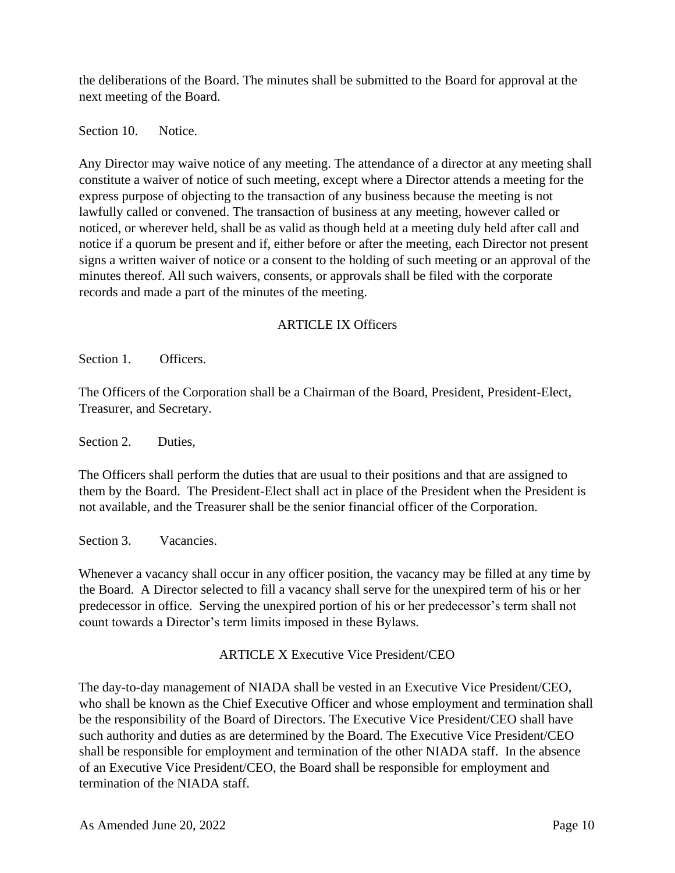the deliberations of the Board. The minutes shall be submitted to the Board for approval at the next meeting of the Board.

Section 10. Notice.

Any Director may waive notice of any meeting. The attendance of a director at any meeting shall constitute a waiver of notice of such meeting, except where a Director attends a meeting for the express purpose of objecting to the transaction of any business because the meeting is not lawfully called or convened. The transaction of business at any meeting, however called or noticed, or wherever held, shall be as valid as though held at a meeting duly held after call and notice if a quorum be present and if, either before or after the meeting, each Director not present signs a written waiver of notice or a consent to the holding of such meeting or an approval of the minutes thereof. All such waivers, consents, or approvals shall be filed with the corporate records and made a part of the minutes of the meeting.

# ARTICLE IX Officers

Section 1. Officers.

The Officers of the Corporation shall be a Chairman of the Board, President, President-Elect, Treasurer, and Secretary.

Section 2. Duties.

The Officers shall perform the duties that are usual to their positions and that are assigned to them by the Board. The President-Elect shall act in place of the President when the President is not available, and the Treasurer shall be the senior financial officer of the Corporation.

Section 3. Vacancies.

Whenever a vacancy shall occur in any officer position, the vacancy may be filled at any time by the Board. A Director selected to fill a vacancy shall serve for the unexpired term of his or her predecessor in office. Serving the unexpired portion of his or her predecessor's term shall not count towards a Director's term limits imposed in these Bylaws.

ARTICLE X Executive Vice President/CEO

The day-to-day management of NIADA shall be vested in an Executive Vice President/CEO, who shall be known as the Chief Executive Officer and whose employment and termination shall be the responsibility of the Board of Directors. The Executive Vice President/CEO shall have such authority and duties as are determined by the Board. The Executive Vice President/CEO shall be responsible for employment and termination of the other NIADA staff. In the absence of an Executive Vice President/CEO, the Board shall be responsible for employment and termination of the NIADA staff.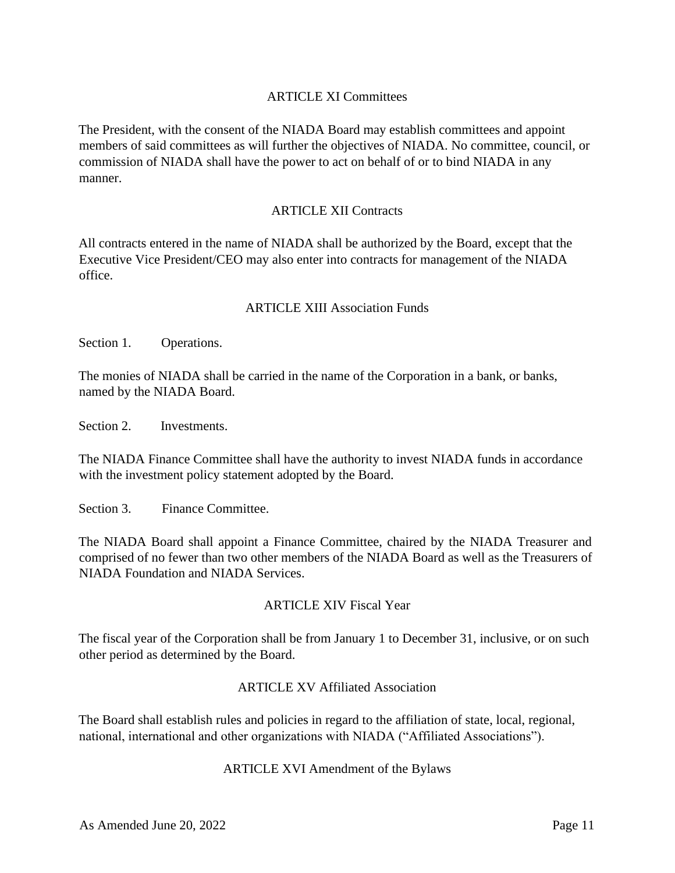### ARTICLE XI Committees

The President, with the consent of the NIADA Board may establish committees and appoint members of said committees as will further the objectives of NIADA. No committee, council, or commission of NIADA shall have the power to act on behalf of or to bind NIADA in any manner.

### ARTICLE XII Contracts

All contracts entered in the name of NIADA shall be authorized by the Board, except that the Executive Vice President/CEO may also enter into contracts for management of the NIADA office.

#### ARTICLE XIII Association Funds

Section 1. Operations.

The monies of NIADA shall be carried in the name of the Corporation in a bank, or banks, named by the NIADA Board.

Section 2. Investments.

The NIADA Finance Committee shall have the authority to invest NIADA funds in accordance with the investment policy statement adopted by the Board.

Section 3. Finance Committee.

The NIADA Board shall appoint a Finance Committee, chaired by the NIADA Treasurer and comprised of no fewer than two other members of the NIADA Board as well as the Treasurers of NIADA Foundation and NIADA Services.

#### ARTICLE XIV Fiscal Year

The fiscal year of the Corporation shall be from January 1 to December 31, inclusive, or on such other period as determined by the Board.

#### ARTICLE XV Affiliated Association

The Board shall establish rules and policies in regard to the affiliation of state, local, regional, national, international and other organizations with NIADA ("Affiliated Associations").

#### ARTICLE XVI Amendment of the Bylaws